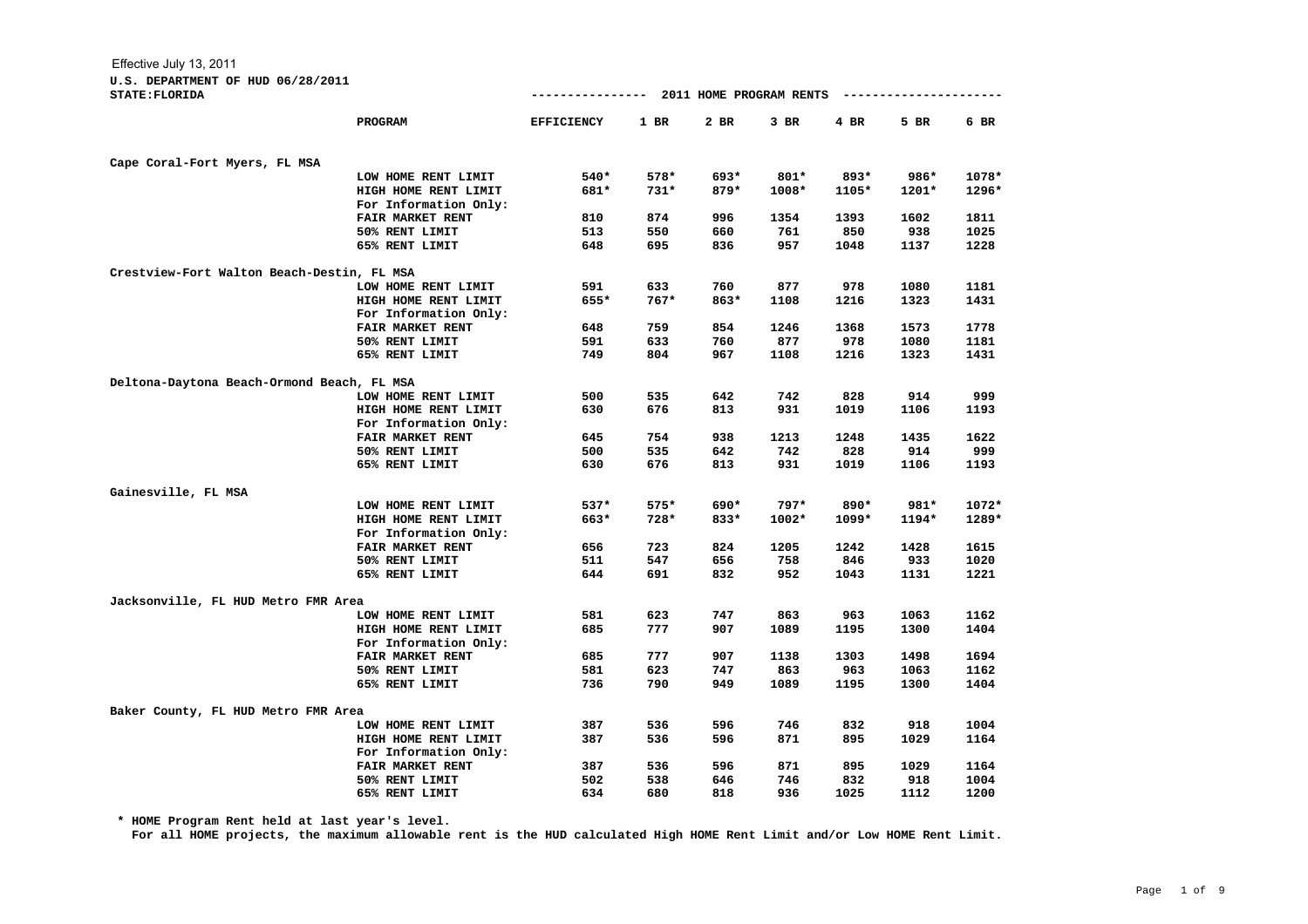## **U.S. DEPARTMENT OF HUD 06/28/2011**

| <b>STATE: FLORIDA</b>                      |                         | ----------------  |            | 2011 HOME PROGRAM RENTS |            |             | ----------------- |              |
|--------------------------------------------|-------------------------|-------------------|------------|-------------------------|------------|-------------|-------------------|--------------|
|                                            | <b>PROGRAM</b>          | <b>EFFICIENCY</b> | $1$ BR     | $2$ BR                  | 3 BR       | 4 BR        | 5 BR              | 6 BR         |
| Cape Coral-Fort Myers, FL MSA              |                         |                   |            |                         |            |             |                   |              |
|                                            | LOW HOME RENT LIMIT     | 540*              | 578*       | 693*                    | $801*$     | 893*        | 986*              | 1078*        |
|                                            | HIGH HOME RENT LIMIT    | 681*              | $731*$     | $879*$                  | $1008*$    | 1105*       | $1201*$           | 1296*        |
|                                            | For Information Only:   |                   |            |                         |            |             |                   |              |
|                                            | FAIR MARKET RENT        | 810               | 874        | 996                     | 1354       | 1393        | 1602              | 1811         |
|                                            | 50% RENT LIMIT          | 513               | 550        | 660                     | 761        | 850         | 938               | 1025         |
|                                            | 65% RENT LIMIT          | 648               | 695        | 836                     | 957        | 1048        | 1137              | 1228         |
| Crestview-Fort Walton Beach-Destin, FL MSA |                         |                   |            |                         |            |             |                   |              |
|                                            | LOW HOME RENT LIMIT     | 591               | 633        | 760                     | 877        | 978         | 1080              | 1181         |
|                                            | HIGH HOME RENT LIMIT    | 655*              | $767*$     | 863*                    | 1108       | 1216        | 1323              | 1431         |
|                                            | For Information Only:   |                   |            |                         |            |             |                   |              |
|                                            | FAIR MARKET RENT        | 648               | 759        | 854                     | 1246       | 1368        | 1573              | 1778         |
|                                            | 50% RENT LIMIT          | 591               | 633        | 760                     | 877        | 978         | 1080              | 1181         |
|                                            | 65% RENT LIMIT          | 749               | 804        | 967                     | 1108       | 1216        | 1323              | 1431         |
| Deltona-Daytona Beach-Ormond Beach, FL MSA |                         |                   |            |                         |            |             |                   |              |
|                                            | LOW HOME RENT LIMIT     | 500               | 535        | 642                     | 742        | 828         | 914               | 999          |
|                                            | HIGH HOME RENT LIMIT    | 630               | 676        | 813                     | 931        | 1019        | 1106              | 1193         |
|                                            | For Information Only:   |                   |            |                         |            |             |                   |              |
|                                            | FAIR MARKET RENT        | 645               | 754        | 938                     | 1213       | 1248        | 1435              | 1622         |
|                                            | 50% RENT LIMIT          | 500               | 535        | 642                     | 742        | 828         | 914               | 999          |
|                                            | 65% RENT LIMIT          | 630               | 676        | 813                     | 931        | 1019        | 1106              | 1193         |
| Gainesville, FL MSA                        |                         |                   |            |                         |            |             |                   |              |
|                                            | LOW HOME RENT LIMIT     | 537*              | 575*       | 690*                    | $797*$     | 890*        | 981*              | 1072*        |
|                                            | HIGH HOME RENT LIMIT    | 663*              | 728*       | $833*$                  | $1002*$    | $1099*$     | 1194*             | 1289*        |
|                                            | For Information Only:   |                   |            |                         |            |             |                   |              |
|                                            | <b>FAIR MARKET RENT</b> | 656               | 723        | 824                     | 1205       | 1242        | 1428              | 1615         |
|                                            | 50% RENT LIMIT          | 511               | 547        | 656                     | 758        | 846         | 933               | 1020         |
|                                            | 65% RENT LIMIT          | 644               | 691        | 832                     | 952        | 1043        | 1131              | 1221         |
| Jacksonville, FL HUD Metro FMR Area        |                         |                   |            |                         |            |             |                   |              |
|                                            | LOW HOME RENT LIMIT     | 581               | 623        | 747                     | 863        | 963         | 1063              | 1162         |
|                                            | HIGH HOME RENT LIMIT    | 685               | 777        | 907                     | 1089       | 1195        | 1300              | 1404         |
|                                            | For Information Only:   |                   |            |                         |            |             |                   |              |
|                                            | <b>FAIR MARKET RENT</b> | 685               | 777        | 907                     | 1138       | 1303        | 1498              | 1694         |
|                                            | 50% RENT LIMIT          | 581               | 623        | 747                     | 863        | 963         | 1063              | 1162         |
|                                            | 65% RENT LIMIT          | 736               | 790        | 949                     | 1089       | 1195        | 1300              | 1404         |
|                                            |                         |                   |            |                         |            |             |                   |              |
| Baker County, FL HUD Metro FMR Area        |                         |                   |            |                         |            |             |                   |              |
|                                            | LOW HOME RENT LIMIT     | 387               | 536        | 596                     | 746        | 832         | 918               | 1004         |
|                                            | HIGH HOME RENT LIMIT    | 387               | 536        | 596                     | 871        | 895         | 1029              | 1164         |
|                                            | For Information Only:   |                   |            |                         |            |             |                   |              |
|                                            | FAIR MARKET RENT        | 387               | 536        | 596                     | 871        | 895         | 1029              | 1164         |
|                                            | 50% RENT LIMIT          | 502<br>634        | 538<br>680 | 646<br>818              | 746<br>936 | 832<br>1025 | 918               | 1004<br>1200 |
|                                            | 65% RENT LIMIT          |                   |            |                         |            |             | 1112              |              |

**\* HOME Program Rent held at last year's level.**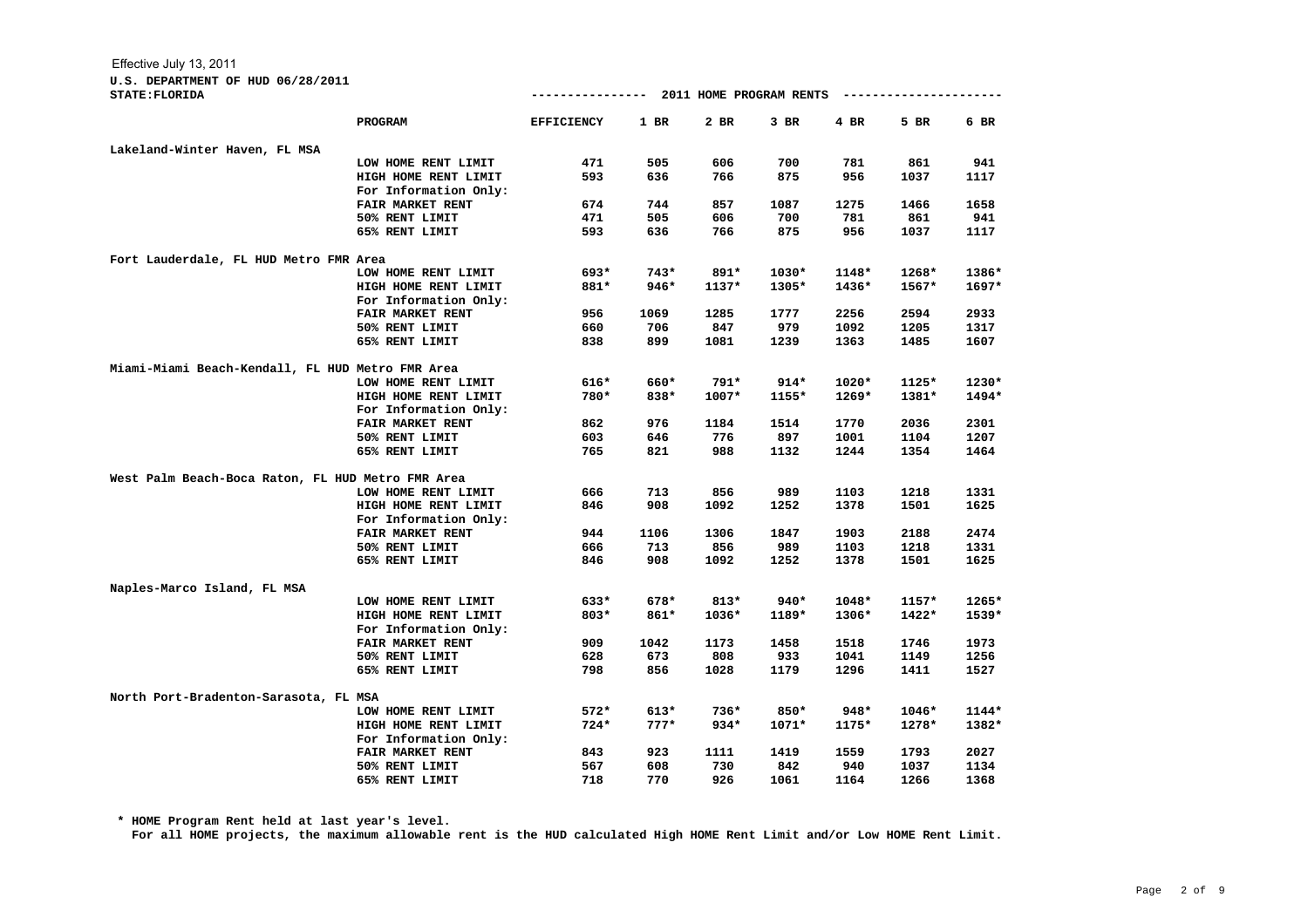| <b>STATE: FLORIDA</b>                             |                         |                   |        |         |         |         | ---------------------- |         |
|---------------------------------------------------|-------------------------|-------------------|--------|---------|---------|---------|------------------------|---------|
|                                                   | PROGRAM                 | <b>EFFICIENCY</b> | $1$ BR | 2 BR    | $3$ BR  | 4 BR    | 5 BR                   | 6 BR    |
| Lakeland-Winter Haven, FL MSA                     |                         |                   |        |         |         |         |                        |         |
|                                                   | LOW HOME RENT LIMIT     | 471               | 505    | 606     | 700     | 781     | 861                    | 941     |
|                                                   | HIGH HOME RENT LIMIT    | 593               | 636    | 766     | 875     | 956     | 1037                   | 1117    |
|                                                   | For Information Only:   |                   |        |         |         |         |                        |         |
|                                                   | FAIR MARKET RENT        | 674               | 744    | 857     | 1087    | 1275    | 1466                   | 1658    |
|                                                   | 50% RENT LIMIT          | 471               | 505    | 606     | 700     | 781     | 861                    | 941     |
|                                                   | 65% RENT LIMIT          | 593               | 636    | 766     | 875     | 956     | 1037                   | 1117    |
| Fort Lauderdale, FL HUD Metro FMR Area            |                         |                   |        |         |         |         |                        |         |
|                                                   | LOW HOME RENT LIMIT     | 693*              | $743*$ | $891*$  | $1030*$ | $1148*$ | $1268*$                | 1386*   |
|                                                   | HIGH HOME RENT LIMIT    | 881*              | $946*$ | $1137*$ | 1305*   | $1436*$ | $1567*$                | $1697*$ |
|                                                   | For Information Only:   |                   |        |         |         |         |                        |         |
|                                                   | FAIR MARKET RENT        | 956               | 1069   | 1285    | 1777    | 2256    | 2594                   | 2933    |
|                                                   | 50% RENT LIMIT          | 660               | 706    | 847     | 979     | 1092    | 1205                   | 1317    |
|                                                   | 65% RENT LIMIT          | 838               | 899    | 1081    | 1239    | 1363    | 1485                   | 1607    |
| Miami-Miami Beach-Kendall, FL HUD Metro FMR Area  |                         |                   |        |         |         |         |                        |         |
|                                                   | LOW HOME RENT LIMIT     | $616*$            | 660*   | 791*    | $914*$  | $1020*$ | $1125*$                | 1230*   |
|                                                   | HIGH HOME RENT LIMIT    | 780*              | 838*   | $1007*$ | 1155*   | $1269*$ | 1381*                  | 1494*   |
|                                                   | For Information Only:   |                   |        |         |         |         |                        |         |
|                                                   | <b>FAIR MARKET RENT</b> | 862               | 976    | 1184    | 1514    | 1770    | 2036                   | 2301    |
|                                                   | 50% RENT LIMIT          | 603               | 646    | 776     | 897     | 1001    | 1104                   | 1207    |
|                                                   | 65% RENT LIMIT          | 765               | 821    | 988     | 1132    | 1244    | 1354                   | 1464    |
| West Palm Beach-Boca Raton, FL HUD Metro FMR Area |                         |                   |        |         |         |         |                        |         |
|                                                   | LOW HOME RENT LIMIT     | 666               | 713    | 856     | 989     | 1103    | 1218                   | 1331    |
|                                                   | HIGH HOME RENT LIMIT    | 846               | 908    | 1092    | 1252    | 1378    | 1501                   | 1625    |
|                                                   | For Information Only:   |                   |        |         |         |         |                        |         |
|                                                   | FAIR MARKET RENT        | 944               | 1106   | 1306    | 1847    | 1903    | 2188                   | 2474    |
|                                                   | 50% RENT LIMIT          | 666               | 713    | 856     | 989     | 1103    | 1218                   | 1331    |
|                                                   | 65% RENT LIMIT          | 846               | 908    | 1092    | 1252    | 1378    | 1501                   | 1625    |
| Naples-Marco Island, FL MSA                       |                         |                   |        |         |         |         |                        |         |
|                                                   | LOW HOME RENT LIMIT     | 633*              | 678*   | $813*$  | 940*    | $1048*$ | $1157*$                | 1265*   |
|                                                   | HIGH HOME RENT LIMIT    | 803*              | 861*   | 1036*   | 1189*   | 1306*   | 1422*                  | $1539*$ |
|                                                   | For Information Only:   |                   |        |         |         |         |                        |         |
|                                                   | <b>FAIR MARKET RENT</b> | 909               | 1042   | 1173    | 1458    | 1518    | 1746                   | 1973    |
|                                                   | 50% RENT LIMIT          | 628               | 673    | 808     | 933     | 1041    | 1149                   | 1256    |
|                                                   | 65% RENT LIMIT          | 798               | 856    | 1028    | 1179    | 1296    | 1411                   | 1527    |
| North Port-Bradenton-Sarasota, FL MSA             |                         |                   |        |         |         |         |                        |         |
|                                                   | LOW HOME RENT LIMIT     | $572*$            | $613*$ | $736*$  | 850*    | $948*$  | $1046*$                | $1144*$ |
|                                                   | HIGH HOME RENT LIMIT    | $724*$            | $777*$ | $934*$  | $1071*$ | 1175*   | 1278*                  | 1382*   |
|                                                   | For Information Only:   |                   |        |         |         |         |                        |         |
|                                                   | FAIR MARKET RENT        | 843               | 923    | 1111    | 1419    | 1559    | 1793                   | 2027    |
|                                                   | 50% RENT LIMIT          | 567               | 608    | 730     | 842     | 940     | 1037                   | 1134    |
|                                                   | 65% RENT LIMIT          | 718               | 770    | 926     | 1061    | 1164    | 1266                   | 1368    |

**\* HOME Program Rent held at last year's level.**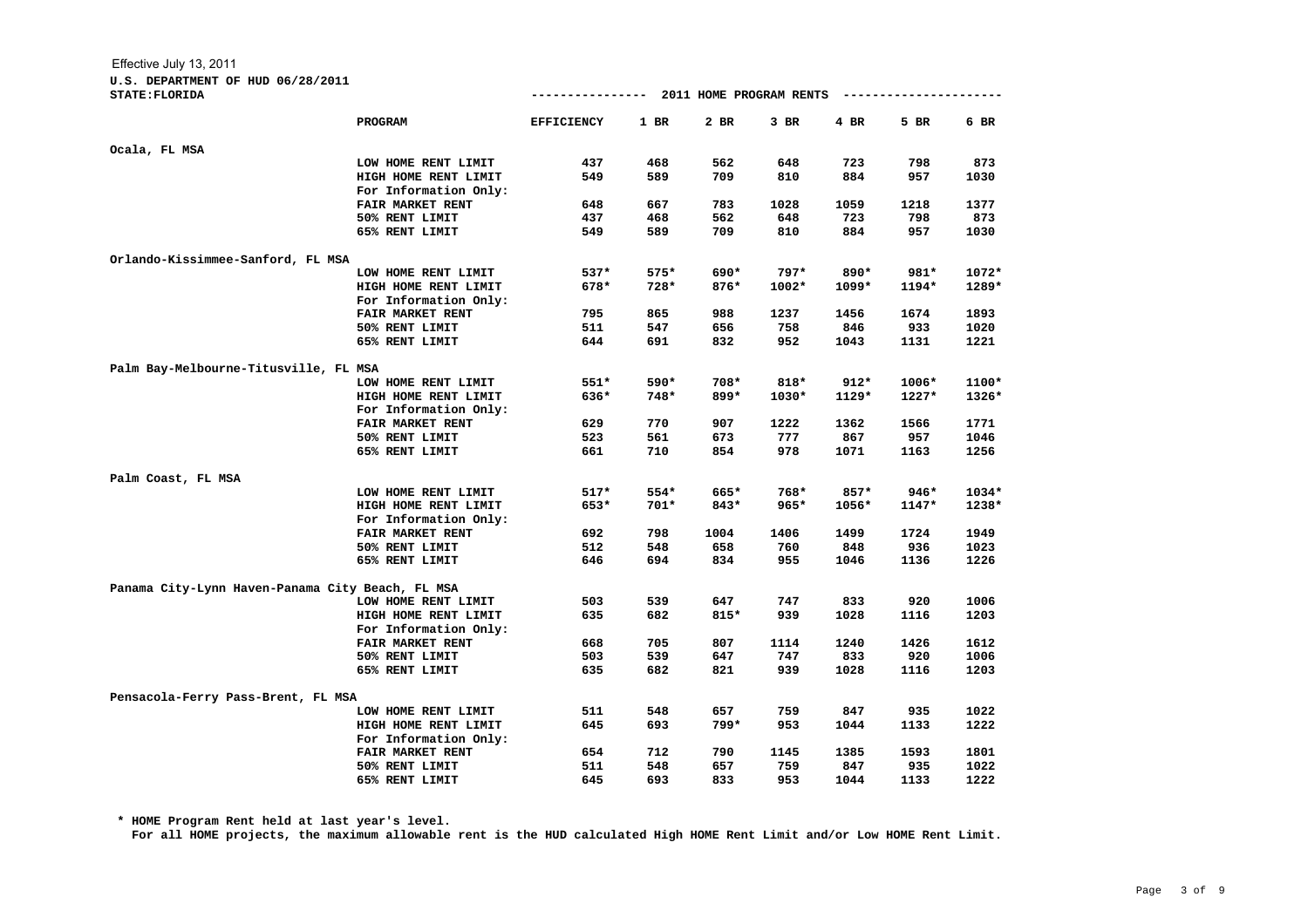| <b>STATE: FLORIDA</b>                            |                         |                   |        |        |         |        | ------------------- |         |
|--------------------------------------------------|-------------------------|-------------------|--------|--------|---------|--------|---------------------|---------|
|                                                  | <b>PROGRAM</b>          | <b>EFFICIENCY</b> | $1$ BR | 2 BR   | $3$ BR  | $4$ BR | 5 BR                | 6 BR    |
| Ocala, FL MSA                                    |                         |                   |        |        |         |        |                     |         |
|                                                  | LOW HOME RENT LIMIT     | 437               | 468    | 562    | 648     | 723    | 798                 | 873     |
|                                                  | HIGH HOME RENT LIMIT    | 549               | 589    | 709    | 810     | 884    | 957                 | 1030    |
|                                                  | For Information Only:   |                   |        |        |         |        |                     |         |
|                                                  | FAIR MARKET RENT        | 648               | 667    | 783    | 1028    | 1059   | 1218                | 1377    |
|                                                  | 50% RENT LIMIT          | 437               | 468    | 562    | 648     | 723    | 798                 | 873     |
|                                                  | 65% RENT LIMIT          | 549               | 589    | 709    | 810     | 884    | 957                 | 1030    |
| Orlando-Kissimmee-Sanford, FL MSA                |                         |                   |        |        |         |        |                     |         |
|                                                  | LOW HOME RENT LIMIT     | 537*              | 575*   | 690*   | $797*$  | 890*   | 981*                | 1072*   |
|                                                  | HIGH HOME RENT LIMIT    | 678*              | 728*   | 876*   | $1002*$ | 1099*  | 1194*               | 1289*   |
|                                                  | For Information Only:   |                   |        |        |         |        |                     |         |
|                                                  | <b>FAIR MARKET RENT</b> | 795               | 865    | 988    | 1237    | 1456   | 1674                | 1893    |
|                                                  | 50% RENT LIMIT          | 511               | 547    | 656    | 758     | 846    | 933                 | 1020    |
|                                                  | 65% RENT LIMIT          | 644               | 691    | 832    | 952     | 1043   | 1131                | 1221    |
| Palm Bay-Melbourne-Titusville, FL MSA            |                         |                   |        |        |         |        |                     |         |
|                                                  | LOW HOME RENT LIMIT     | $551*$            | 590*   | 708*   | $818*$  | $912*$ | $1006*$             | 1100*   |
|                                                  | HIGH HOME RENT LIMIT    | 636*              | 748*   | 899*   | 1030*   | 1129*  | $1227*$             | 1326*   |
|                                                  | For Information Only:   |                   |        |        |         |        |                     |         |
|                                                  | <b>FAIR MARKET RENT</b> | 629               | 770    | 907    | 1222    | 1362   | 1566                | 1771    |
|                                                  | 50% RENT LIMIT          | 523               | 561    | 673    | 777     | 867    | 957                 | 1046    |
|                                                  | 65% RENT LIMIT          | 661               | 710    | 854    | 978     | 1071   | 1163                | 1256    |
| Palm Coast, FL MSA                               |                         |                   |        |        |         |        |                     |         |
|                                                  | LOW HOME RENT LIMIT     | $517*$            | 554*   | 665*   | 768*    | $857*$ | 946*                | $1034*$ |
|                                                  | HIGH HOME RENT LIMIT    | 653*              | $701*$ | $843*$ | $965*$  | 1056*  | $1147*$             | 1238*   |
|                                                  | For Information Only:   |                   |        |        |         |        |                     |         |
|                                                  | FAIR MARKET RENT        | 692               | 798    | 1004   | 1406    | 1499   | 1724                | 1949    |
|                                                  | 50% RENT LIMIT          | 512               | 548    | 658    | 760     | 848    | 936                 | 1023    |
|                                                  | 65% RENT LIMIT          | 646               | 694    | 834    | 955     | 1046   | 1136                | 1226    |
| Panama City-Lynn Haven-Panama City Beach, FL MSA |                         |                   |        |        |         |        |                     |         |
|                                                  | LOW HOME RENT LIMIT     | 503               | 539    | 647    | 747     | 833    | 920                 | 1006    |
|                                                  | HIGH HOME RENT LIMIT    | 635               | 682    | $815*$ | 939     | 1028   | 1116                | 1203    |
|                                                  | For Information Only:   |                   |        |        |         |        |                     |         |
|                                                  | FAIR MARKET RENT        | 668               | 705    | 807    | 1114    | 1240   | 1426                | 1612    |
|                                                  | 50% RENT LIMIT          | 503               | 539    | 647    | 747     | 833    | 920                 | 1006    |
|                                                  | 65% RENT LIMIT          | 635               | 682    | 821    | 939     | 1028   | 1116                | 1203    |
| Pensacola-Ferry Pass-Brent, FL MSA               |                         |                   |        |        |         |        |                     |         |
|                                                  | LOW HOME RENT LIMIT     | 511               | 548    | 657    | 759     | 847    | 935                 | 1022    |
|                                                  | HIGH HOME RENT LIMIT    | 645               | 693    | $799*$ | 953     | 1044   | 1133                | 1222    |
|                                                  | For Information Only:   |                   |        |        |         |        |                     |         |
|                                                  | FAIR MARKET RENT        | 654               | 712    | 790    | 1145    | 1385   | 1593                | 1801    |
|                                                  | 50% RENT LIMIT          | 511               | 548    | 657    | 759     | 847    | 935                 | 1022    |
|                                                  | 65% RENT LIMIT          | 645               | 693    | 833    | 953     | 1044   | 1133                | 1222    |

**\* HOME Program Rent held at last year's level.**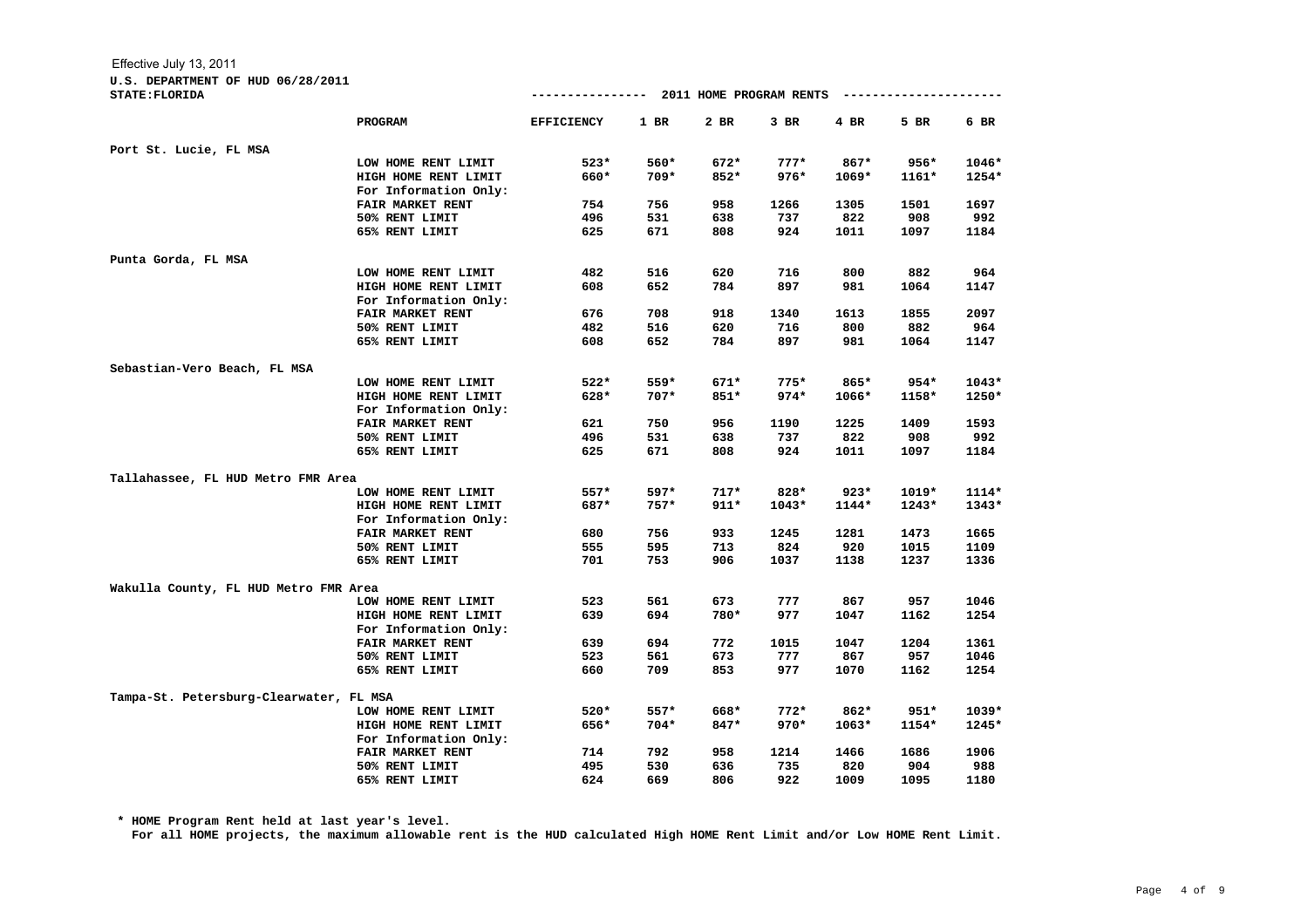## **U.S. DEPARTMENT OF HUD 06/28/2011**

| <b>STATE: FLORIDA</b>                   |                         | --------------- 2011 HOME PROGRAM RENTS |        |        |         |         | ------------------- |         |
|-----------------------------------------|-------------------------|-----------------------------------------|--------|--------|---------|---------|---------------------|---------|
|                                         | PROGRAM                 | <b>EFFICIENCY</b>                       | $1$ BR | $2$ BR | $3$ BR  | $4$ BR  | 5 BR                | 6 BR    |
| Port St. Lucie, FL MSA                  |                         |                                         |        |        |         |         |                     |         |
|                                         | LOW HOME RENT LIMIT     | $523*$                                  | 560*   | $672*$ | $777*$  | $867*$  | $956*$              | 1046*   |
|                                         | HIGH HOME RENT LIMIT    | 660*                                    | $709*$ | $852*$ | $976*$  | $1069*$ | $1161*$             | 1254*   |
|                                         | For Information Only:   |                                         |        |        |         |         |                     |         |
|                                         | FAIR MARKET RENT        | 754                                     | 756    | 958    | 1266    | 1305    | 1501                | 1697    |
|                                         | 50% RENT LIMIT          | 496                                     | 531    | 638    | 737     | 822     | 908                 | 992     |
|                                         | 65% RENT LIMIT          | 625                                     | 671    | 808    | 924     | 1011    | 1097                | 1184    |
| Punta Gorda, FL MSA                     |                         |                                         |        |        |         |         |                     |         |
|                                         | LOW HOME RENT LIMIT     | 482                                     | 516    | 620    | 716     | 800     | 882                 | 964     |
|                                         | HIGH HOME RENT LIMIT    | 608                                     | 652    | 784    | 897     | 981     | 1064                | 1147    |
|                                         | For Information Only:   |                                         |        |        |         |         |                     |         |
|                                         | FAIR MARKET RENT        | 676                                     | 708    | 918    | 1340    | 1613    | 1855                | 2097    |
|                                         | 50% RENT LIMIT          | 482                                     | 516    | 620    | 716     | 800     | 882                 | 964     |
|                                         | 65% RENT LIMIT          | 608                                     | 652    | 784    | 897     | 981     | 1064                | 1147    |
| Sebastian-Vero Beach, FL MSA            |                         |                                         |        |        |         |         |                     |         |
|                                         | LOW HOME RENT LIMIT     | $522*$                                  | 559*   | $671*$ | $775*$  | 865*    | $954*$              | $1043*$ |
|                                         | HIGH HOME RENT LIMIT    | 628*                                    | $707*$ | $851*$ | $974*$  | $1066*$ | 1158*               | 1250*   |
|                                         | For Information Only:   |                                         |        |        |         |         |                     |         |
|                                         | FAIR MARKET RENT        | 621                                     | 750    | 956    | 1190    | 1225    | 1409                | 1593    |
|                                         | 50% RENT LIMIT          | 496                                     | 531    | 638    | 737     | 822     | 908                 | 992     |
|                                         | 65% RENT LIMIT          | 625                                     | 671    | 808    | 924     | 1011    | 1097                | 1184    |
| Tallahassee, FL HUD Metro FMR Area      |                         |                                         |        |        |         |         |                     |         |
|                                         | LOW HOME RENT LIMIT     | $557*$                                  | $597*$ | $717*$ | 828*    | $923*$  | $1019*$             | $1114*$ |
|                                         | HIGH HOME RENT LIMIT    | 687*                                    | $757*$ | $911*$ | $1043*$ | $1144*$ | $1243*$             | $1343*$ |
|                                         | For Information Only:   |                                         |        |        |         |         |                     |         |
|                                         | FAIR MARKET RENT        | 680                                     | 756    | 933    | 1245    | 1281    | 1473                | 1665    |
|                                         | 50% RENT LIMIT          | 555                                     | 595    | 713    | 824     | 920     | 1015                | 1109    |
|                                         | 65% RENT LIMIT          | 701                                     | 753    | 906    | 1037    | 1138    | 1237                | 1336    |
| Wakulla County, FL HUD Metro FMR Area   |                         |                                         |        |        |         |         |                     |         |
|                                         | LOW HOME RENT LIMIT     | 523                                     | 561    | 673    | 777     | 867     | 957                 | 1046    |
|                                         | HIGH HOME RENT LIMIT    | 639                                     | 694    | 780*   | 977     | 1047    | 1162                | 1254    |
|                                         | For Information Only:   |                                         |        |        |         |         |                     |         |
|                                         | <b>FAIR MARKET RENT</b> | 639                                     | 694    | 772    | 1015    | 1047    | 1204                | 1361    |
|                                         | 50% RENT LIMIT          | 523                                     | 561    | 673    | 777     | 867     | 957                 | 1046    |
|                                         | 65% RENT LIMIT          | 660                                     | 709    | 853    | 977     | 1070    | 1162                | 1254    |
| Tampa-St. Petersburg-Clearwater, FL MSA |                         |                                         |        |        |         |         |                     |         |
|                                         | LOW HOME RENT LIMIT     | 520*                                    | 557*   | 668*   | $772*$  | 862*    | $951*$              | $1039*$ |
|                                         | HIGH HOME RENT LIMIT    | 656*                                    | $704*$ | 847*   | $970*$  | $1063*$ | 1154*               | 1245*   |
|                                         | For Information Only:   |                                         |        |        |         |         |                     |         |
|                                         | <b>FAIR MARKET RENT</b> | 714                                     | 792    | 958    | 1214    | 1466    | 1686                | 1906    |
|                                         | 50% RENT LIMIT          | 495                                     | 530    | 636    | 735     | 820     | 904                 | 988     |
|                                         | 65% RENT LIMIT          | 624                                     | 669    | 806    | 922     | 1009    | 1095                | 1180    |

**\* HOME Program Rent held at last year's level.**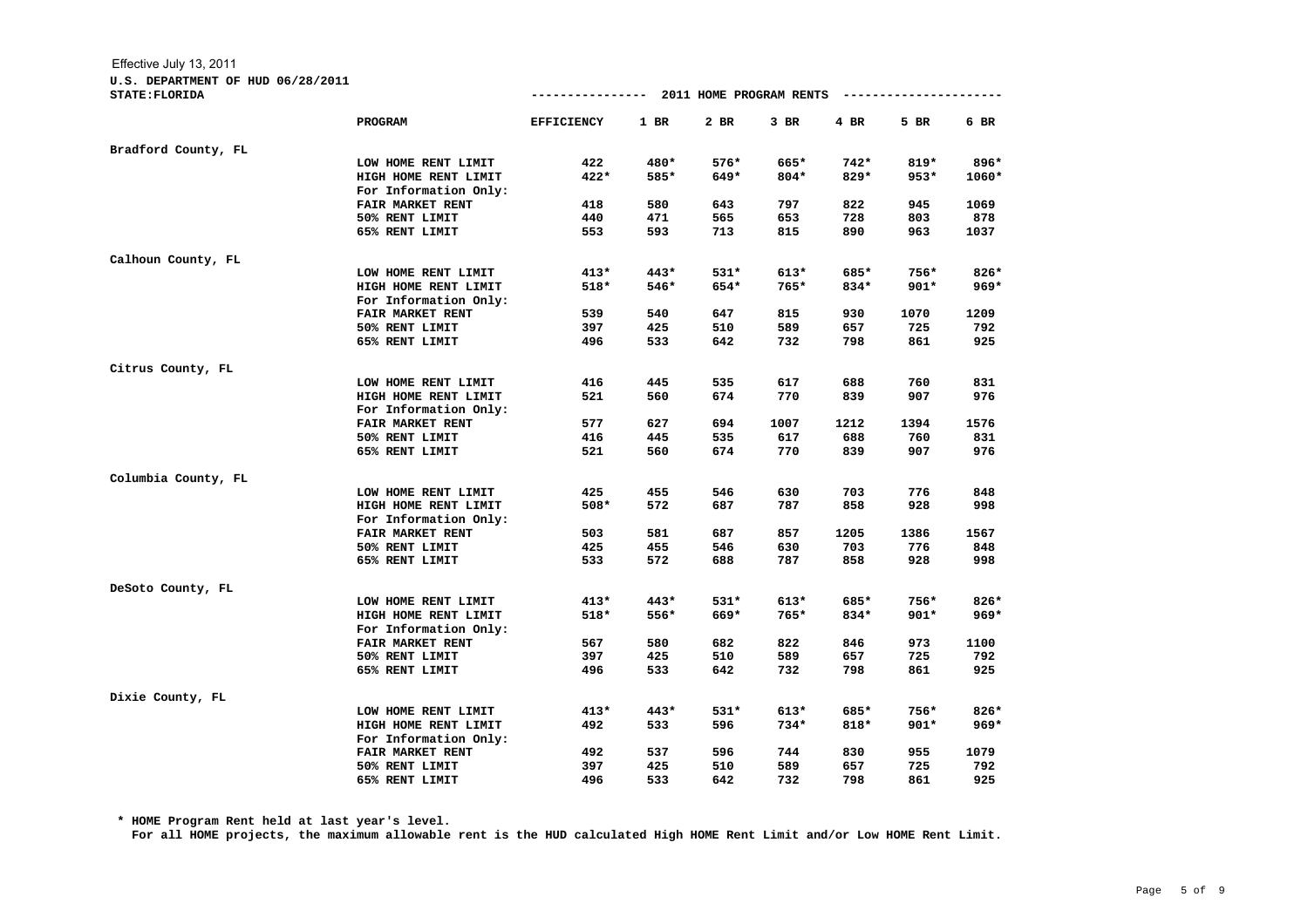**U.S. DEPARTMENT OF HUD 06/28/2011**

| STATE: FLORIDA      |                         |                   |        |        |        |        |        |        |
|---------------------|-------------------------|-------------------|--------|--------|--------|--------|--------|--------|
|                     | <b>PROGRAM</b>          | <b>EFFICIENCY</b> | $1$ BR | 2 BR   | $3$ BR | 4 BR   | 5 BR   | 6 BR   |
| Bradford County, FL |                         |                   |        |        |        |        |        |        |
|                     | LOW HOME RENT LIMIT     | 422               | 480*   | 576*   | 665*   | 742*   | $819*$ | 896*   |
|                     | HIGH HOME RENT LIMIT    | 422*              | 585*   | 649*   | 804*   | $829*$ | $953*$ | 1060*  |
|                     | For Information Only:   |                   |        |        |        |        |        |        |
|                     | <b>FAIR MARKET RENT</b> | 418               | 580    | 643    | 797    | 822    | 945    | 1069   |
|                     | 50% RENT LIMIT          | 440               | 471    | 565    | 653    | 728    | 803    | 878    |
|                     | 65% RENT LIMIT          | 553               | 593    | 713    | 815    | 890    | 963    | 1037   |
| Calhoun County, FL  |                         |                   |        |        |        |        |        |        |
|                     | LOW HOME RENT LIMIT     | $413*$            | $443*$ | $531*$ | $613*$ | 685*   | 756*   | 826*   |
|                     | HIGH HOME RENT LIMIT    | 518*              | 546*   | 654*   | 765*   | 834*   | $901*$ | $969*$ |
|                     | For Information Only:   |                   |        |        |        |        |        |        |
|                     | <b>FAIR MARKET RENT</b> | 539               | 540    | 647    | 815    | 930    | 1070   | 1209   |
|                     | 50% RENT LIMIT          | 397               | 425    | 510    | 589    | 657    | 725    | 792    |
|                     | 65% RENT LIMIT          | 496               | 533    | 642    | 732    | 798    | 861    | 925    |
| Citrus County, FL   |                         |                   |        |        |        |        |        |        |
|                     | LOW HOME RENT LIMIT     | 416               | 445    | 535    | 617    | 688    | 760    | 831    |
|                     | HIGH HOME RENT LIMIT    | 521               | 560    | 674    | 770    | 839    | 907    | 976    |
|                     | For Information Only:   |                   |        |        |        |        |        |        |
|                     | <b>FAIR MARKET RENT</b> | 577               | 627    | 694    | 1007   | 1212   | 1394   | 1576   |
|                     | 50% RENT LIMIT          | 416               | 445    | 535    | 617    | 688    | 760    | 831    |
|                     | 65% RENT LIMIT          | 521               | 560    | 674    | 770    | 839    | 907    | 976    |
| Columbia County, FL |                         |                   |        |        |        |        |        |        |
|                     | LOW HOME RENT LIMIT     | 425               | 455    | 546    | 630    | 703    | 776    | 848    |
|                     | HIGH HOME RENT LIMIT    | 508*              | 572    | 687    | 787    | 858    | 928    | 998    |
|                     | For Information Only:   |                   |        |        |        |        |        |        |
|                     | FAIR MARKET RENT        | 503               | 581    | 687    | 857    | 1205   | 1386   | 1567   |
|                     | 50% RENT LIMIT          | 425               | 455    | 546    | 630    | 703    | 776    | 848    |
|                     | 65% RENT LIMIT          | 533               | 572    | 688    | 787    | 858    | 928    | 998    |
| DeSoto County, FL   |                         |                   |        |        |        |        |        |        |
|                     | LOW HOME RENT LIMIT     | $413*$            | $443*$ | $531*$ | $613*$ | 685*   | 756*   | 826*   |
|                     | HIGH HOME RENT LIMIT    | 518*              | 556*   | 669*   | 765*   | 834*   | $901*$ | $969*$ |
|                     | For Information Only:   |                   |        |        |        |        |        |        |
|                     | FAIR MARKET RENT        | 567               | 580    | 682    | 822    | 846    | 973    | 1100   |
|                     | 50% RENT LIMIT          | 397               | 425    | 510    | 589    | 657    | 725    | 792    |
|                     | 65% RENT LIMIT          | 496               | 533    | 642    | 732    | 798    | 861    | 925    |
| Dixie County, FL    |                         |                   |        |        |        |        |        |        |
|                     | LOW HOME RENT LIMIT     | $413*$            | $443*$ | $531*$ | $613*$ | 685*   | 756*   | $826*$ |
|                     | HIGH HOME RENT LIMIT    | 492               | 533    | 596    | $734*$ | $818*$ | $901*$ | $969*$ |
|                     | For Information Only:   |                   |        |        |        |        |        |        |
|                     | <b>FAIR MARKET RENT</b> | 492               | 537    | 596    | 744    | 830    | 955    | 1079   |
|                     | 50% RENT LIMIT          | 397               | 425    | 510    | 589    | 657    | 725    | 792    |
|                     | 65% RENT LIMIT          | 496               | 533    | 642    | 732    | 798    | 861    | 925    |

**\* HOME Program Rent held at last year's level.**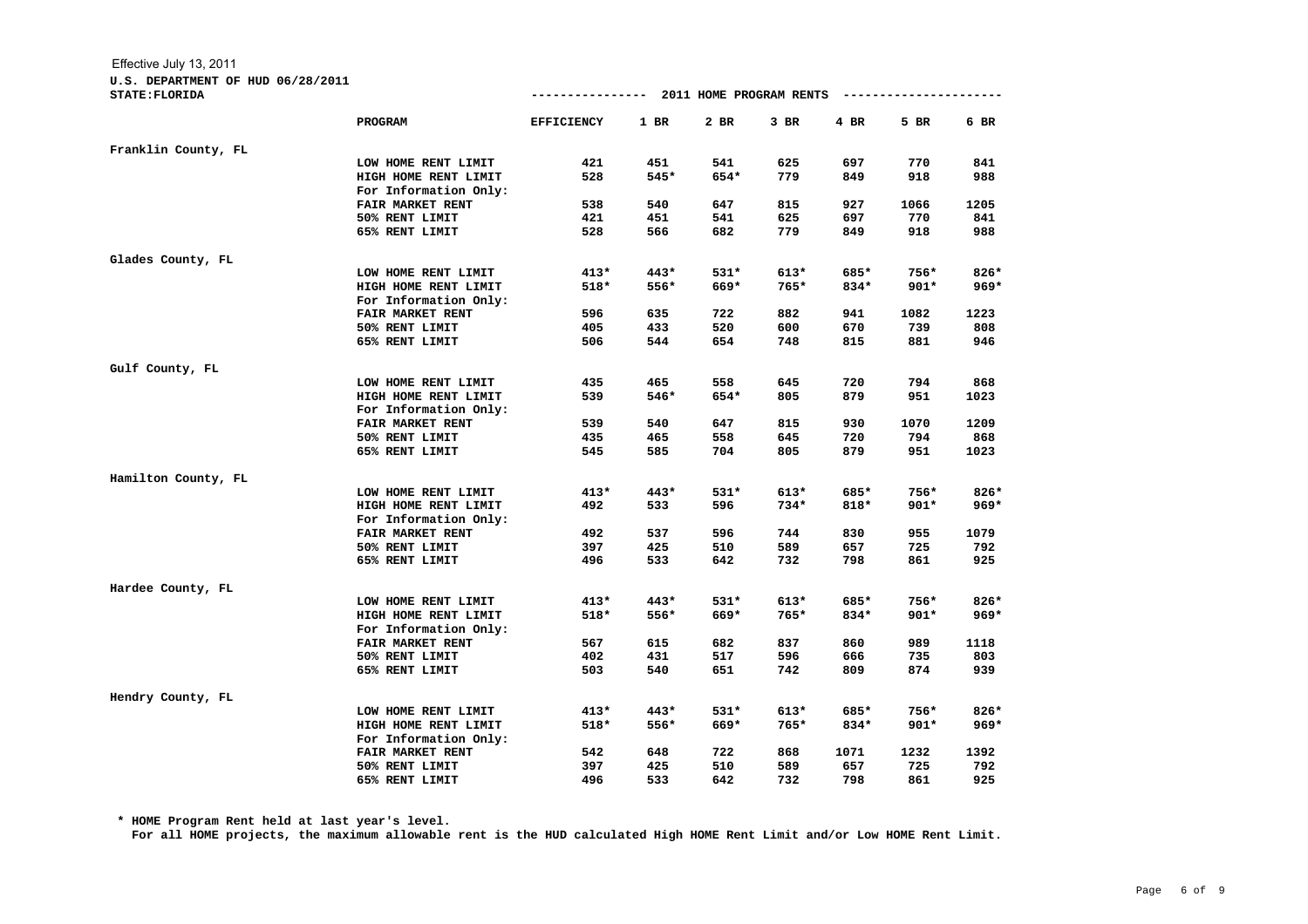**U.S. DEPARTMENT OF HUD 06/28/2011**

| STATE: FLORIDA      |                         | ---------------- 2011 HOME PROGRAM RENTS |        |        |        |        | ------------------- |        |  |  |  |
|---------------------|-------------------------|------------------------------------------|--------|--------|--------|--------|---------------------|--------|--|--|--|
|                     | PROGRAM                 | <b>EFFICIENCY</b>                        | $1$ BR | $2$ BR | $3$ BR | $4$ BR | 5 BR                | 6 BR   |  |  |  |
| Franklin County, FL |                         |                                          |        |        |        |        |                     |        |  |  |  |
|                     | LOW HOME RENT LIMIT     | 421                                      | 451    | 541    | 625    | 697    | 770                 | 841    |  |  |  |
|                     | HIGH HOME RENT LIMIT    | 528                                      | $545*$ | 654*   | 779    | 849    | 918                 | 988    |  |  |  |
|                     | For Information Only:   |                                          |        |        |        |        |                     |        |  |  |  |
|                     | FAIR MARKET RENT        | 538                                      | 540    | 647    | 815    | 927    | 1066                | 1205   |  |  |  |
|                     | 50% RENT LIMIT          | 421                                      | 451    | 541    | 625    | 697    | 770                 | 841    |  |  |  |
|                     | 65% RENT LIMIT          | 528                                      | 566    | 682    | 779    | 849    | 918                 | 988    |  |  |  |
| Glades County, FL   |                         |                                          |        |        |        |        |                     |        |  |  |  |
|                     | LOW HOME RENT LIMIT     | $413*$                                   | 443*   | $531*$ | $613*$ | 685*   | 756*                | $826*$ |  |  |  |
|                     | HIGH HOME RENT LIMIT    | $518*$                                   | 556*   | 669*   | 765*   | 834*   | $901*$              | $969*$ |  |  |  |
|                     | For Information Only:   |                                          |        |        |        |        |                     |        |  |  |  |
|                     | <b>FAIR MARKET RENT</b> | 596                                      | 635    | 722    | 882    | 941    | 1082                | 1223   |  |  |  |
|                     | 50% RENT LIMIT          | 405                                      | 433    | 520    | 600    | 670    | 739                 | 808    |  |  |  |
|                     | 65% RENT LIMIT          | 506                                      | 544    | 654    | 748    | 815    | 881                 | 946    |  |  |  |
| Gulf County, FL     |                         |                                          |        |        |        |        |                     |        |  |  |  |
|                     | LOW HOME RENT LIMIT     | 435                                      | 465    | 558    | 645    | 720    | 794                 | 868    |  |  |  |
|                     | HIGH HOME RENT LIMIT    | 539                                      | 546*   | 654*   | 805    | 879    | 951                 | 1023   |  |  |  |
|                     | For Information Only:   |                                          |        |        |        |        |                     |        |  |  |  |
|                     | FAIR MARKET RENT        | 539                                      | 540    | 647    | 815    | 930    | 1070                | 1209   |  |  |  |
|                     | 50% RENT LIMIT          | 435                                      | 465    | 558    | 645    | 720    | 794                 | 868    |  |  |  |
|                     | 65% RENT LIMIT          | 545                                      | 585    | 704    | 805    | 879    | 951                 | 1023   |  |  |  |
| Hamilton County, FL |                         |                                          |        |        |        |        |                     |        |  |  |  |
|                     | LOW HOME RENT LIMIT     | $413*$                                   | 443*   | $531*$ | $613*$ | 685*   | 756*                | 826*   |  |  |  |
|                     | HIGH HOME RENT LIMIT    | 492                                      | 533    | 596    | 734*   | 818*   | $901*$              | $969*$ |  |  |  |
|                     | For Information Only:   |                                          |        |        |        |        |                     |        |  |  |  |
|                     | FAIR MARKET RENT        | 492                                      | 537    | 596    | 744    | 830    | 955                 | 1079   |  |  |  |
|                     | 50% RENT LIMIT          | 397                                      | 425    | 510    | 589    | 657    | 725                 | 792    |  |  |  |
|                     | 65% RENT LIMIT          | 496                                      | 533    | 642    | 732    | 798    | 861                 | 925    |  |  |  |
| Hardee County, FL   |                         |                                          |        |        |        |        |                     |        |  |  |  |
|                     | LOW HOME RENT LIMIT     | $413*$                                   | 443*   | $531*$ | $613*$ | 685*   | 756*                | 826*   |  |  |  |
|                     | HIGH HOME RENT LIMIT    | 518*                                     | 556*   | 669*   | 765*   | 834*   | $901*$              | $969*$ |  |  |  |
|                     | For Information Only:   |                                          |        |        |        |        |                     |        |  |  |  |
|                     | <b>FAIR MARKET RENT</b> | 567                                      | 615    | 682    | 837    | 860    | 989                 | 1118   |  |  |  |
|                     | 50% RENT LIMIT          | 402                                      | 431    | 517    | 596    | 666    | 735                 | 803    |  |  |  |
|                     | 65% RENT LIMIT          | 503                                      | 540    | 651    | 742    | 809    | 874                 | 939    |  |  |  |
| Hendry County, FL   |                         |                                          |        |        |        |        |                     |        |  |  |  |
|                     | LOW HOME RENT LIMIT     | $413*$                                   | 443*   | $531*$ | $613*$ | 685*   | 756*                | 826*   |  |  |  |
|                     | HIGH HOME RENT LIMIT    | 518*                                     | 556*   | 669*   | 765*   | 834*   | $901*$              | $969*$ |  |  |  |
|                     | For Information Only:   |                                          |        |        |        |        |                     |        |  |  |  |
|                     | <b>FAIR MARKET RENT</b> | 542                                      | 648    | 722    | 868    | 1071   | 1232                | 1392   |  |  |  |
|                     | 50% RENT LIMIT          | 397                                      | 425    | 510    | 589    | 657    | 725                 | 792    |  |  |  |
|                     | 65% RENT LIMIT          | 496                                      | 533    | 642    | 732    | 798    | 861                 | 925    |  |  |  |

**\* HOME Program Rent held at last year's level.**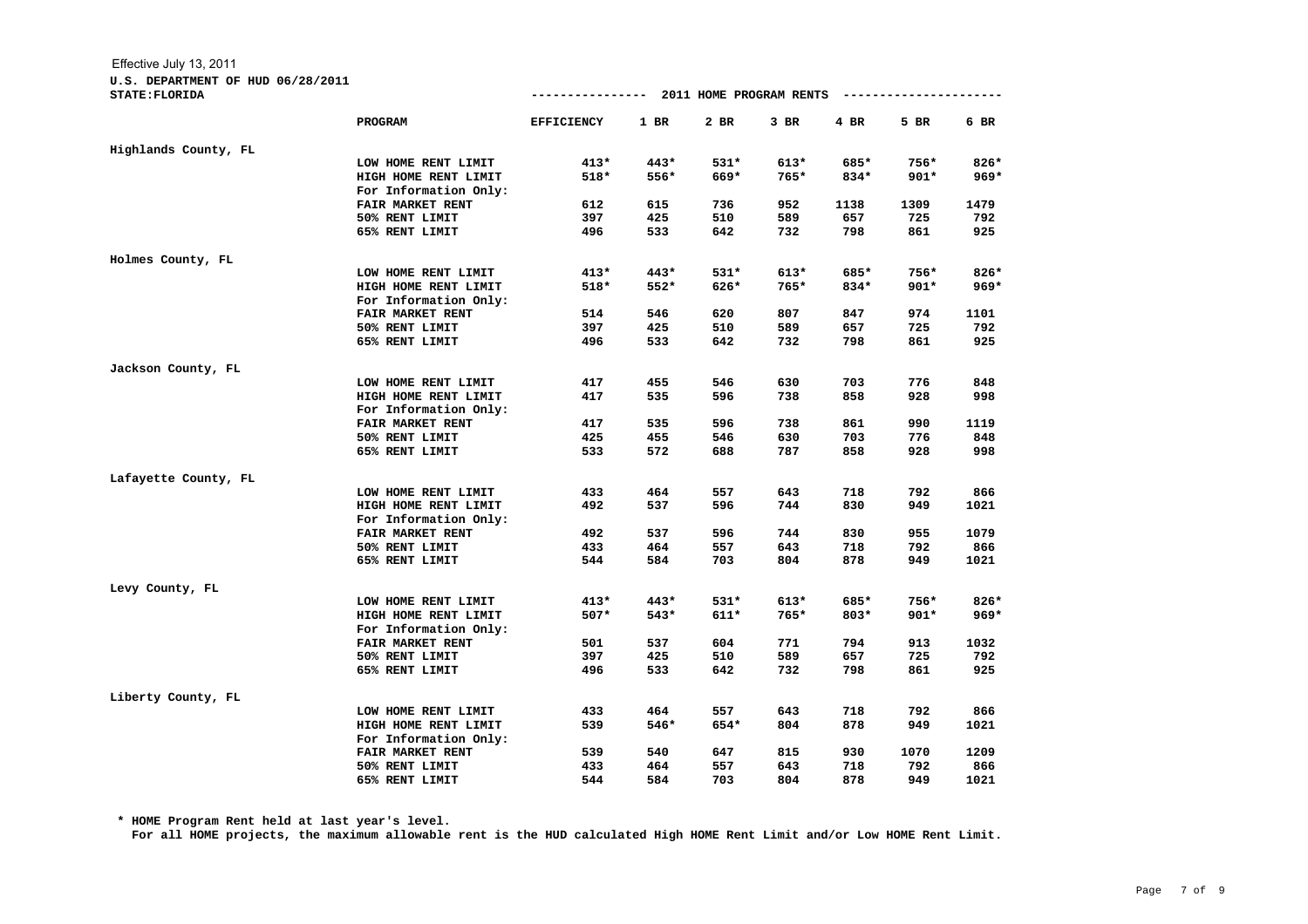## **U.S. DEPARTMENT OF HUD 06/28/2011**

| STATE: FLORIDA       |                         |                   |        |        |        |        |        |        |
|----------------------|-------------------------|-------------------|--------|--------|--------|--------|--------|--------|
|                      | <b>PROGRAM</b>          | <b>EFFICIENCY</b> | $1$ BR | 2 BR   | $3$ BR | $4$ BR | 5 BR   | 6 BR   |
| Highlands County, FL |                         |                   |        |        |        |        |        |        |
|                      | LOW HOME RENT LIMIT     | $413*$            | 443*   | $531*$ | 613*   | 685*   | 756*   | 826*   |
|                      | HIGH HOME RENT LIMIT    | 518*              | 556*   | 669*   | 765*   | 834*   | $901*$ | $969*$ |
|                      | For Information Only:   |                   |        |        |        |        |        |        |
|                      | <b>FAIR MARKET RENT</b> | 612               | 615    | 736    | 952    | 1138   | 1309   | 1479   |
|                      | 50% RENT LIMIT          | 397               | 425    | 510    | 589    | 657    | 725    | 792    |
|                      | 65% RENT LIMIT          | 496               | 533    | 642    | 732    | 798    | 861    | 925    |
| Holmes County, FL    |                         |                   |        |        |        |        |        |        |
|                      | LOW HOME RENT LIMIT     | $413*$            | 443*   | $531*$ | 613*   | 685*   | 756*   | $826*$ |
|                      | HIGH HOME RENT LIMIT    | 518*              | 552*   | 626*   | 765*   | 834*   | $901*$ | $969*$ |
|                      | For Information Only:   |                   |        |        |        |        |        |        |
|                      | FAIR MARKET RENT        | 514               | 546    | 620    | 807    | 847    | 974    | 1101   |
|                      | 50% RENT LIMIT          | 397               | 425    | 510    | 589    | 657    | 725    | 792    |
|                      | 65% RENT LIMIT          | 496               | 533    | 642    | 732    | 798    | 861    | 925    |
| Jackson County, FL   |                         |                   |        |        |        |        |        |        |
|                      | LOW HOME RENT LIMIT     | 417               | 455    | 546    | 630    | 703    | 776    | 848    |
|                      | HIGH HOME RENT LIMIT    | 417               | 535    | 596    | 738    | 858    | 928    | 998    |
|                      | For Information Only:   |                   |        |        |        |        |        |        |
|                      | <b>FAIR MARKET RENT</b> | 417               | 535    | 596    | 738    | 861    | 990    | 1119   |
|                      | 50% RENT LIMIT          | 425               | 455    | 546    | 630    | 703    | 776    | 848    |
|                      | 65% RENT LIMIT          | 533               | 572    | 688    | 787    | 858    | 928    | 998    |
| Lafayette County, FL |                         |                   |        |        |        |        |        |        |
|                      | LOW HOME RENT LIMIT     | 433               | 464    | 557    | 643    | 718    | 792    | 866    |
|                      | HIGH HOME RENT LIMIT    | 492               | 537    | 596    | 744    | 830    | 949    | 1021   |
|                      | For Information Only:   |                   |        |        |        |        |        |        |
|                      | FAIR MARKET RENT        | 492               | 537    | 596    | 744    | 830    | 955    | 1079   |
|                      | 50% RENT LIMIT          | 433               | 464    | 557    | 643    | 718    | 792    | 866    |
|                      | 65% RENT LIMIT          | 544               | 584    | 703    | 804    | 878    | 949    | 1021   |
| Levy County, FL      |                         |                   |        |        |        |        |        |        |
|                      | LOW HOME RENT LIMIT     | $413*$            | $443*$ | $531*$ | $613*$ | 685*   | 756*   | $826*$ |
|                      | HIGH HOME RENT LIMIT    | $507*$            | 543*   | $611*$ | $765*$ | $803*$ | $901*$ | $969*$ |
|                      | For Information Only:   |                   |        |        |        |        |        |        |
|                      | FAIR MARKET RENT        | 501               | 537    | 604    | 771    | 794    | 913    | 1032   |
|                      | 50% RENT LIMIT          | 397               | 425    | 510    | 589    | 657    | 725    | 792    |
|                      | 65% RENT LIMIT          | 496               | 533    | 642    | 732    | 798    | 861    | 925    |
| Liberty County, FL   |                         |                   |        |        |        |        |        |        |
|                      | LOW HOME RENT LIMIT     | 433               | 464    | 557    | 643    | 718    | 792    | 866    |
|                      | HIGH HOME RENT LIMIT    | 539               | 546*   | 654*   | 804    | 878    | 949    | 1021   |
|                      | For Information Only:   |                   |        |        |        |        |        |        |
|                      | FAIR MARKET RENT        | 539               | 540    | 647    | 815    | 930    | 1070   | 1209   |
|                      | 50% RENT LIMIT          | 433               | 464    | 557    | 643    | 718    | 792    | 866    |
|                      | 65% RENT LIMIT          | 544               | 584    | 703    | 804    | 878    | 949    | 1021   |

**\* HOME Program Rent held at last year's level.**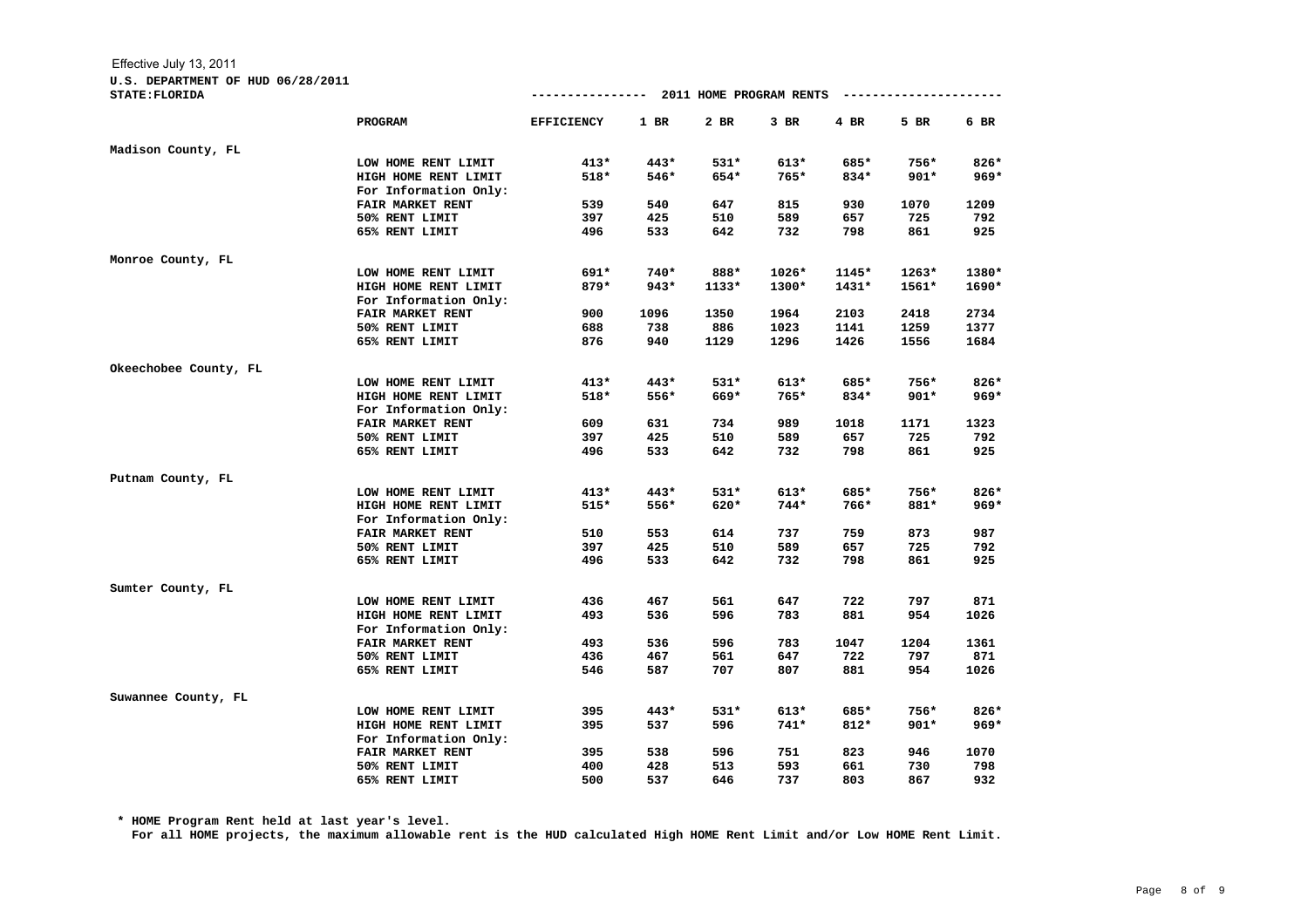**U.S. DEPARTMENT OF HUD 06/28/2011**

| STATE: FLORIDA        |                         |                   |        |         |        |         |         |        |
|-----------------------|-------------------------|-------------------|--------|---------|--------|---------|---------|--------|
|                       | <b>PROGRAM</b>          | <b>EFFICIENCY</b> | $1$ BR | 2 BR    | $3$ BR | $4$ BR  | 5 BR    | 6 BR   |
| Madison County, FL    |                         |                   |        |         |        |         |         |        |
|                       | LOW HOME RENT LIMIT     | $413*$            | 443*   | $531*$  | 613*   | 685*    | 756*    | 826*   |
|                       | HIGH HOME RENT LIMIT    | 518*              | 546*   | 654*    | 765*   | 834*    | $901*$  | $969*$ |
|                       | For Information Only:   |                   |        |         |        |         |         |        |
|                       | <b>FAIR MARKET RENT</b> | 539               | 540    | 647     | 815    | 930     | 1070    | 1209   |
|                       | 50% RENT LIMIT          | 397               | 425    | 510     | 589    | 657     | 725     | 792    |
|                       | 65% RENT LIMIT          | 496               | 533    | 642     | 732    | 798     | 861     | 925    |
| Monroe County, FL     |                         |                   |        |         |        |         |         |        |
|                       | LOW HOME RENT LIMIT     | 691*              | $740*$ | 888*    | 1026*  | 1145*   | $1263*$ | 1380*  |
|                       | HIGH HOME RENT LIMIT    | 879*              | 943*   | $1133*$ | 1300*  | $1431*$ | 1561*   | 1690*  |
|                       | For Information Only:   |                   |        |         |        |         |         |        |
|                       | FAIR MARKET RENT        | 900               | 1096   | 1350    | 1964   | 2103    | 2418    | 2734   |
|                       | 50% RENT LIMIT          | 688               | 738    | 886     | 1023   | 1141    | 1259    | 1377   |
|                       | 65% RENT LIMIT          | 876               | 940    | 1129    | 1296   | 1426    | 1556    | 1684   |
| Okeechobee County, FL |                         |                   |        |         |        |         |         |        |
|                       | LOW HOME RENT LIMIT     | $413*$            | 443*   | $531*$  | $613*$ | 685*    | 756*    | $826*$ |
|                       | HIGH HOME RENT LIMIT    | 518*              | 556*   | 669*    | 765*   | 834*    | $901*$  | $969*$ |
|                       | For Information Only:   |                   |        |         |        |         |         |        |
|                       | FAIR MARKET RENT        | 609               | 631    | 734     | 989    | 1018    | 1171    | 1323   |
|                       | 50% RENT LIMIT          | 397               | 425    | 510     | 589    | 657     | 725     | 792    |
|                       | 65% RENT LIMIT          | 496               | 533    | 642     | 732    | 798     | 861     | 925    |
| Putnam County, FL     |                         |                   |        |         |        |         |         |        |
|                       | LOW HOME RENT LIMIT     | $413*$            | 443*   | $531*$  | $613*$ | 685*    | 756*    | 826*   |
|                       | HIGH HOME RENT LIMIT    | $515*$            | 556*   | 620*    | $744*$ | 766*    | 881*    | $969*$ |
|                       | For Information Only:   |                   |        |         |        |         |         |        |
|                       | FAIR MARKET RENT        | 510               | 553    | 614     | 737    | 759     | 873     | 987    |
|                       | 50% RENT LIMIT          | 397               | 425    | 510     | 589    | 657     | 725     | 792    |
|                       | 65% RENT LIMIT          | 496               | 533    | 642     | 732    | 798     | 861     | 925    |
| Sumter County, FL     |                         |                   |        |         |        |         |         |        |
|                       | LOW HOME RENT LIMIT     | 436               | 467    | 561     | 647    | 722     | 797     | 871    |
|                       | HIGH HOME RENT LIMIT    | 493               | 536    | 596     | 783    | 881     | 954     | 1026   |
|                       | For Information Only:   |                   |        |         |        |         |         |        |
|                       | FAIR MARKET RENT        | 493               | 536    | 596     | 783    | 1047    | 1204    | 1361   |
|                       | 50% RENT LIMIT          | 436               | 467    | 561     | 647    | 722     | 797     | 871    |
|                       | 65% RENT LIMIT          | 546               | 587    | 707     | 807    | 881     | 954     | 1026   |
| Suwannee County, FL   |                         |                   |        |         |        |         |         |        |
|                       | LOW HOME RENT LIMIT     | 395               | $443*$ | $531*$  | $613*$ | 685*    | 756*    | $826*$ |
|                       | HIGH HOME RENT LIMIT    | 395               | 537    | 596     | $741*$ | $812*$  | $901*$  | $969*$ |
|                       | For Information Only:   |                   |        |         |        |         |         |        |
|                       | FAIR MARKET RENT        | 395               | 538    | 596     | 751    | 823     | 946     | 1070   |
|                       | 50% RENT LIMIT          | 400               | 428    | 513     | 593    | 661     | 730     | 798    |
|                       | 65% RENT LIMIT          | 500               | 537    | 646     | 737    | 803     | 867     | 932    |

**\* HOME Program Rent held at last year's level.**